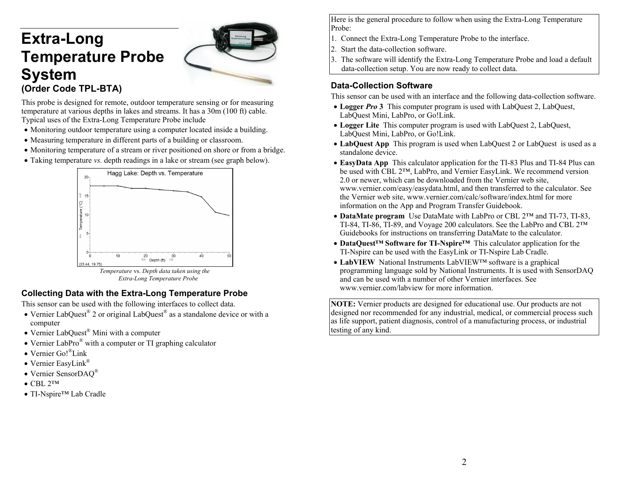# **Extra-Long Temperature Probe System (Order Code TPL-BTA)**



This probe is designed for remote, outdoor temperature sensing or for measuring temperature at various depths in lakes and streams. It has a 30m (100 ft) cable. Typical uses of the Extra-Long Temperature Probe include

- Monitoring outdoor temperature using a computer located inside a building.
- Measuring temperature in different parts of a building or classroom.
- Monitoring temperature of a stream or river positioned on shore or from a bridge.
- Taking temperature *vs.* depth readings in a lake or stream (see graph below).



*Extra-Long Temperature Probe* 

#### **Collecting Data with the Extra-Long Temperature Probe**

This sensor can be used with the following interfaces to collect data.

- Vernier LabQuest<sup>®</sup> 2 or original LabQuest<sup>®</sup> as a standalone device or with a computer
- Vernier LabQuest<sup>®</sup> Mini with a computer
- Vernier LabPro<sup>®</sup> with a computer or TI graphing calculator
- Vernier Go!<sup>®</sup>Link
- Vernier EasyLink®
- Vernier SensorDAQ®
- $\bullet$  CBL 2™
- TI-Nspire<sup>™</sup> Lab Cradle

Here is the general procedure to follow when using the Extra-Long Temperature Probe:

- 1. Connect the Extra-Long Temperature Probe to the interface.
- 2. Start the data-collection software.
- 3. The software will identify the Extra-Long Temperature Probe and load a default data-collection setup. You are now ready to collect data.

#### **Data-Collection Software**

This sensor can be used with an interface and the following data-collection software.

- Logger *Pro* 3 This computer program is used with LabQuest 2, LabQuest, LabQuest Mini, LabPro, or Go!Link.
- Logger Lite This computer program is used with LabQuest 2, LabQuest, LabQuest Mini, LabPro, or Go!Link.
- **LabQuest App** This program is used when LabQuest 2 or LabQuest is used as a standalone device.
- **EasyData App** This calculator application for the TI-83 Plus and TI-84 Plus can be used with CBL 2™, LabPro, and Vernier EasyLink. We recommend version 2.0 or newer, which can be downloaded from the Vernier web site, www.vernier.com/easy/easydata.html, and then transferred to the calculator. See the Vernier web site, www.vernier.com/calc/software/index.html for more information on the App and Program Transfer Guidebook.
- **DataMate program** Use DataMate with LabPro or CBL 2™ and TI-73, TI-83, TI-84, TI-86, TI-89, and Voyage 200 calculators. See the LabPro and CBL 2™ Guidebooks for instructions on transferring DataMate to the calculator.
- **DataQuest™ Software for TI-Nspire™** This calculator application for the TI-Nspire can be used with the EasyLink or TI-Nspire Lab Cradle.
- **LabVIEW** National Instruments LabVIEW™ software is a graphical programming language sold by National Instruments. It is used with SensorDAQ and can be used with a number of other Vernier interfaces. See www.vernier.com/labview for more information.

**NOTE:** Vernier products are designed for educational use. Our products are not designed nor recommended for any industrial, medical, or commercial process such as life support, patient diagnosis, control of a manufacturing process, or industrial testing of any kind.